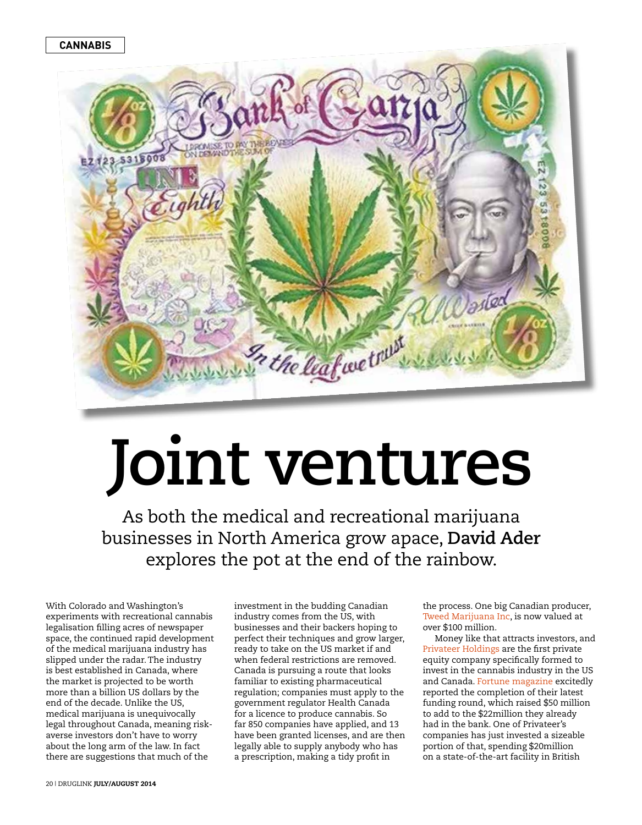

## **Joint ventures**

As both the medical and recreational marijuana businesses in North America grow apace, **David Ader** explores the pot at the end of the rainbow.

With Colorado and Washington's experiments with recreational cannabis legalisation filling acres of newspaper space, the continued rapid development of the medical marijuana industry has slipped under the radar. The industry is best established in Canada, where the market is projected to be worth more than a billion US dollars by the end of the decade. Unlike the US, medical marijuana is unequivocally legal throughout Canada, meaning riskaverse investors don't have to worry about the long arm of the law. In fact there are suggestions that much of the

investment in the budding Canadian industry comes from the US, with businesses and their backers hoping to perfect their techniques and grow larger, ready to take on the US market if and when federal restrictions are removed. Canada is pursuing a route that looks familiar to existing pharmaceutical regulation; companies must apply to the government regulator Health Canada for a licence to produce cannabis. So far 850 companies have applied, and 13 have been granted licenses, and are then legally able to supply anybody who has a prescription, making a tidy profit in

the process. One big Canadian producer, [Tweed Marijuana Inc](http://www.reuters.com/article/2014/06/13/us-canada-marijuana-ipo-idUSKBN0EO0BH20140613), is now valued at over \$100 million.

Money like that attracts investors, and [Privateer Holdings](http://www.privateerholdings.com/) are the first private equity company specifically formed to invest in the cannabis industry in the US and Canada. [Fortune magazine](http://fortune.com/2014/07/18/pot-related-vc-firm-to-close-50-million-funding/) excitedly reported the completion of their latest funding round, which raised \$50 million to add to the \$22million they already had in the bank. One of Privateer's companies has just invested a sizeable portion of that, spending \$20million on a state-of-the-art facility in British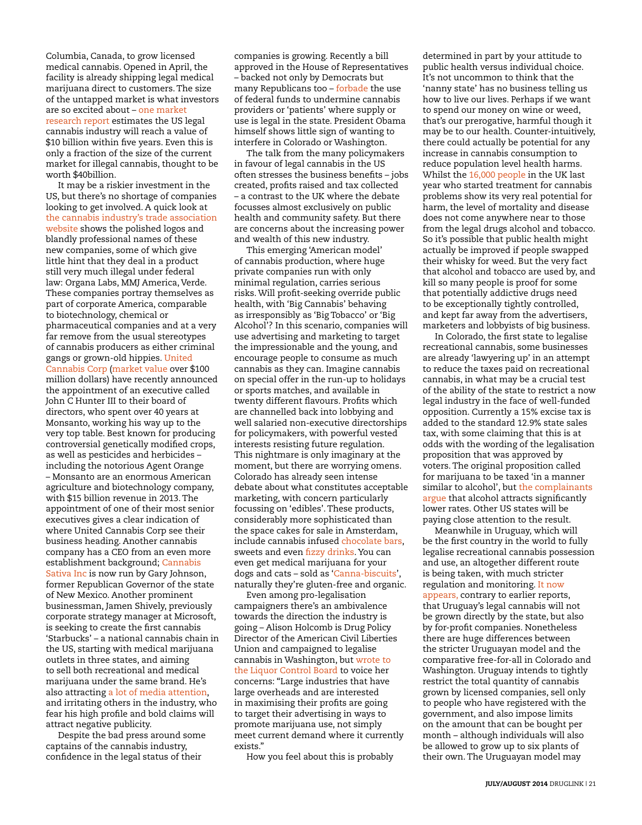Columbia, Canada, to grow licensed medical cannabis. Opened in April, the facility is already shipping legal medical marijuana direct to customers. The size of the untapped market is what investors are so excited about – [one market](http://www.arcviewmarketresearch.com/media-coverage/)  [research report](http://www.arcviewmarketresearch.com/media-coverage/) estimates the US legal cannabis industry will reach a value of \$10 billion within five years. Even this is only a fraction of the size of the current market for illegal cannabis, thought to be worth \$40billion.

It may be a riskier investment in the US, but there's no shortage of companies looking to get involved. A quick look at [the cannabis industry's trade association](https://thecannabisindustry.org/members/)  [website](https://thecannabisindustry.org/members/) shows the polished logos and blandly professional names of these new companies, some of which give little hint that they deal in a product still very much illegal under federal law: Organa Labs, MMJ America, Verde. These companies portray themselves as part of corporate America, comparable to biotechnology, chemical or pharmaceutical companies and at a very far remove from the usual stereotypes of cannabis producers as either criminal gangs or grown-old hippies. [United](http://www.unitedcannabis.us/about/)  [Cannabis Corp](http://www.unitedcannabis.us/about/) [\(market value](http://investing.money.msn.com/investments/stock-price/?symbol=CNAB) over \$100 million dollars) have recently announced the appointment of an executive called John C Hunter III to their board of directors, who spent over 40 years at Monsanto, working his way up to the very top table. Best known for producing controversial genetically modified crops, as well as pesticides and herbicides – including the notorious Agent Orange – Monsanto are an enormous American agriculture and biotechnology company, with \$15 billion revenue in 2013. The appointment of one of their most senior executives gives a clear indication of where United Cannabis Corp see their business heading. Another cannabis company has a CEO from an even more establishment background; [Cannabis](http://www.medicaninc.com/2014/07/07/medican-director-assumes-new-leadership-position-as-ceo-of-cannabis-sativa-inc/)  [Sativa Inc](http://www.medicaninc.com/2014/07/07/medican-director-assumes-new-leadership-position-as-ceo-of-cannabis-sativa-inc/) is now run by Gary Johnson, former Republican Governor of the state of New Mexico. Another prominent businessman, Jamen Shively, previously corporate strategy manager at Microsoft, is seeking to create the first cannabis 'Starbucks' – a national cannabis chain in the US, starting with medical marijuana outlets in three states, and aiming to sell both recreational and medical marijuana under the same brand. He's also attractin[g a lot of media attention,](http://www.huffingtonpost.com/2013/06/18/jamen-shively-diego-pellicer_n_3454815.html) and irritating others in the industry, who fear his high profile and bold claims will attract negative publicity.

Despite the bad press around some captains of the cannabis industry, confidence in the legal status of their

companies is growing. Recently a bill approved in the House of Representatives – backed not only by Democrats but many Republicans too – [forbade](https://thecannabisindustry.org/history-congress-takes-bipartisan-step-end-war-medical-marijuana/) the use of federal funds to undermine cannabis providers or 'patients' where supply or use is legal in the state. President Obama himself shows little sign of wanting to interfere in Colorado or Washington.

The talk from the many policymakers in favour of legal cannabis in the US often stresses the business benefits – jobs created, profits raised and tax collected – a contrast to the UK where the debate focusses almost exclusively on public health and community safety. But there are concerns about the increasing power and wealth of this new industry.

This emerging 'American model' of cannabis production, where huge private companies run with only minimal regulation, carries serious risks. Will profit-seeking override public health, with 'Big Cannabis' behaving as irresponsibly as 'Big Tobacco' or 'Big Alcohol'? In this scenario, companies will use advertising and marketing to target the impressionable and the young, and encourage people to consume as much cannabis as they can. Imagine cannabis on special offer in the run-up to holidays or sports matches, and available in twenty different flavours. Profits which are channelled back into lobbying and well salaried non-executive directorships for policymakers, with powerful vested interests resisting future regulation. This nightmare is only imaginary at the moment, but there are worrying omens. Colorado has already seen intense debate about what constitutes acceptable marketing, with concern particularly focussing on 'edibles'. These products, considerably more sophisticated than the space cakes for sale in Amsterdam, include cannabis infused [chocolate bars,](http://incrediblescolorado.com/products/) sweets and even [fizzy drinks](http://dixieelixirs.com/family/dixie-elixirs/). You can even get medical marijuana for your dogs and cats – sold as '[Canna-biscuits'](http://www.canna-pet.com/index.html), naturally they're gluten-free and organic.

Even among pro-legalisation campaigners there's an ambivalence towards the direction the industry is going – Alison Holcomb is Drug Policy Director of the American Civil Liberties Union and campaigned to legalise cannabis in Washington, but [wrote to](http://nwnewsnetwork.org/post/washington-marijuana-legalization-draws-yale-mbas-big-ideas)  [the Liquor Control Board](http://nwnewsnetwork.org/post/washington-marijuana-legalization-draws-yale-mbas-big-ideas) to voice her concerns: "Large industries that have large overheads and are interested in maximising their profits are going to target their advertising in ways to promote marijuana use, not simply meet current demand where it currently exists."

How you feel about this is probably

determined in part by your attitude to public health versus individual choice. It's not uncommon to think that the 'nanny state' has no business telling us how to live our lives. Perhaps if we want to spend our money on wine or weed, that's our prerogative, harmful though it may be to our health. Counter-intuitively, there could actually be potential for any increase in cannabis consumption to reduce population level health harms. Whilst the [16,000 people](https://www.ndtms.net/viewit/Adult/Viewer.aspx?theme=subst&shaName=Z&level=england&code=Z&year=9) in the UK last year who started treatment for cannabis problems show its very real potential for harm, the level of mortality and disease does not come anywhere near to those from the legal drugs alcohol and tobacco. So it's possible that public health might actually be improved if people swapped their whisky for weed. But the very fact that alcohol and tobacco are used by, and kill so many people is proof for some that potentially addictive drugs need to be exceptionally tightly controlled, and kept far away from the advertisers, marketers and lobbyists of big business.

In Colorado, the first state to legalise recreational cannabis, some businesses are already 'lawyering up' in an attempt to reduce the taxes paid on recreational cannabis, in what may be a crucial test of the ability of the state to restrict a now legal industry in the face of well-funded opposition. Currently a 15% excise tax is added to the standard 12.9% state sales tax, with some claiming that this is at odds with the wording of the legalisation proposition that was approved by voters. The original proposition called for marijuana to be taxed 'in a manner similar to alcohol', but the complainants [argue](http://www.reuters.com/article/2014/06/11/us-usa-colorado-marijuana-idUSKBN0EM02W20140611) that alcohol attracts significantly lower rates. Other US states will be paying close attention to the result.

Meanwhile in Uruguay, which will be the first country in the world to fully legalise recreational cannabis possession and use, an altogether different route is being taken, with much stricter regulation and monitoring. [It now](http://edition.cnn.com/2014/05/06/world/americas/uruguay-marijuana-rules/)  [appears,](http://edition.cnn.com/2014/05/06/world/americas/uruguay-marijuana-rules/) contrary to earlier reports, that Uruguay's legal cannabis will not be grown directly by the state, but also by for-profit companies. Nonetheless there are huge differences between the stricter Uruguayan model and the comparative free-for-all in Colorado and Washington. Uruguay intends to tightly restrict the total quantity of cannabis grown by licensed companies, sell only to people who have registered with the government, and also impose limits on the amount that can be bought per month – although individuals will also be allowed to grow up to six plants of their own. The Uruguayan model may